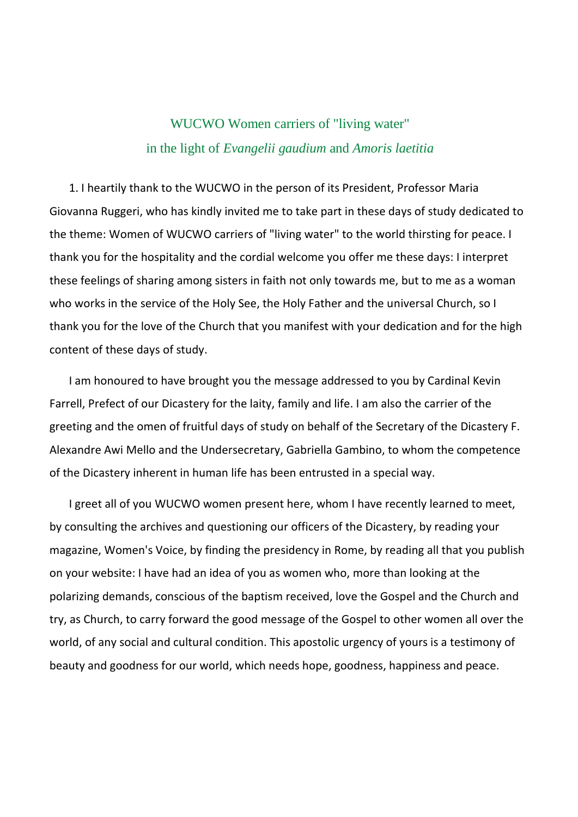## WUCWO Women carriers of "living water" in the light of *Evangelii gaudium* and *Amoris laetitia*

1. I heartily thank to the WUCWO in the person of its President, Professor Maria Giovanna Ruggeri, who has kindly invited me to take part in these days of study dedicated to the theme: Women of WUCWO carriers of "living water" to the world thirsting for peace. I thank you for the hospitality and the cordial welcome you offer me these days: I interpret these feelings of sharing among sisters in faith not only towards me, but to me as a woman who works in the service of the Holy See, the Holy Father and the universal Church, so I thank you for the love of the Church that you manifest with your dedication and for the high content of these days of study.

I am honoured to have brought you the message addressed to you by Cardinal Kevin Farrell, Prefect of our Dicastery for the laity, family and life. I am also the carrier of the greeting and the omen of fruitful days of study on behalf of the Secretary of the Dicastery F. Alexandre Awi Mello and the Undersecretary, Gabriella Gambino, to whom the competence of the Dicastery inherent in human life has been entrusted in a special way.

I greet all of you WUCWO women present here, whom I have recently learned to meet, by consulting the archives and questioning our officers of the Dicastery, by reading your magazine, Women's Voice, by finding the presidency in Rome, by reading all that you publish on your website: I have had an idea of you as women who, more than looking at the polarizing demands, conscious of the baptism received, love the Gospel and the Church and try, as Church, to carry forward the good message of the Gospel to other women all over the world, of any social and cultural condition. This apostolic urgency of yours is a testimony of beauty and goodness for our world, which needs hope, goodness, happiness and peace.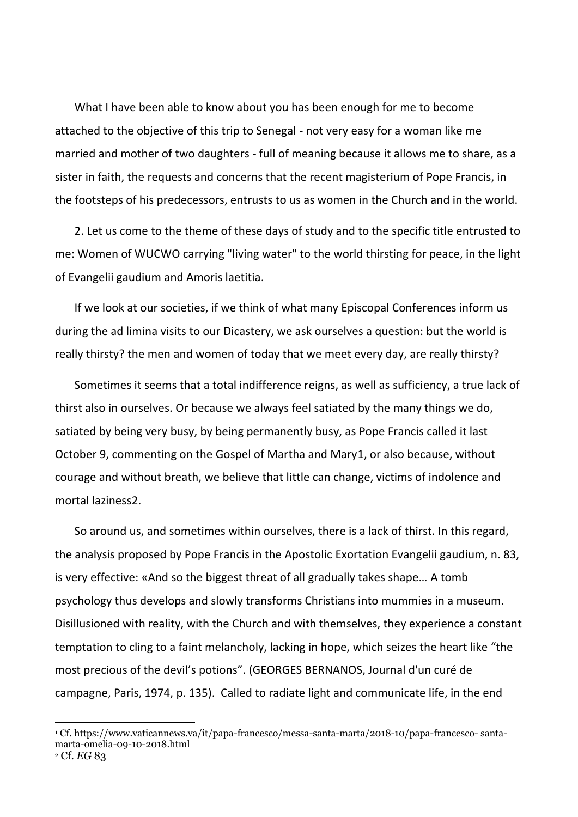What I have been able to know about you has been enough for me to become attached to the objective of this trip to Senegal - not very easy for a woman like me married and mother of two daughters - full of meaning because it allows me to share, as a sister in faith, the requests and concerns that the recent magisterium of Pope Francis, in the footsteps of his predecessors, entrusts to us as women in the Church and in the world.

2. Let us come to the theme of these days of study and to the specific title entrusted to me: Women of WUCWO carrying "living water" to the world thirsting for peace, in the light of Evangelii gaudium and Amoris laetitia.

If we look at our societies, if we think of what many Episcopal Conferences inform us during the ad limina visits to our Dicastery, we ask ourselves a question: but the world is really thirsty? the men and women of today that we meet every day, are really thirsty?

Sometimes it seems that a total indifference reigns, as well as sufficiency, a true lack of thirst also in ourselves. Or because we always feel satiated by the many things we do, satiated by being very busy, by being permanently busy, as Pope Francis called it last October 9, commenting on the Gospel of Martha and Mary1, or also because, without courage and without breath, we believe that little can change, victims of indolence and mortal laziness2.

So around us, and sometimes within ourselves, there is a lack of thirst. In this regard, the analysis proposed by Pope Francis in the Apostolic Exortation Evangelii gaudium, n. 83, is very effective: «And so the biggest threat of all gradually takes shape… A tomb psychology thus develops and slowly transforms Christians into mummies in a museum. Disillusioned with reality, with the Church and with themselves, they experience a constant temptation to cling to a faint melancholy, lacking in hope, which seizes the heart like "the most precious of the devil's potions". (GEORGES BERNANOS, Journal d'un curé de campagne, Paris, 1974, p. 135). Called to radiate light and communicate life, in the end

 $\overline{a}$ 

<sup>1</sup> Cf. https:/[/www.vaticannews.va/it/papa-francesco/messa-santa-marta/2018-10/papa-francesco-](http://www.vaticannews.va/it/papa-francesco/messa-santa-marta/2018-10/papa-francesco-) santamarta-omelia-09-10-2018.html

<sup>2</sup> Cf. *EG* 83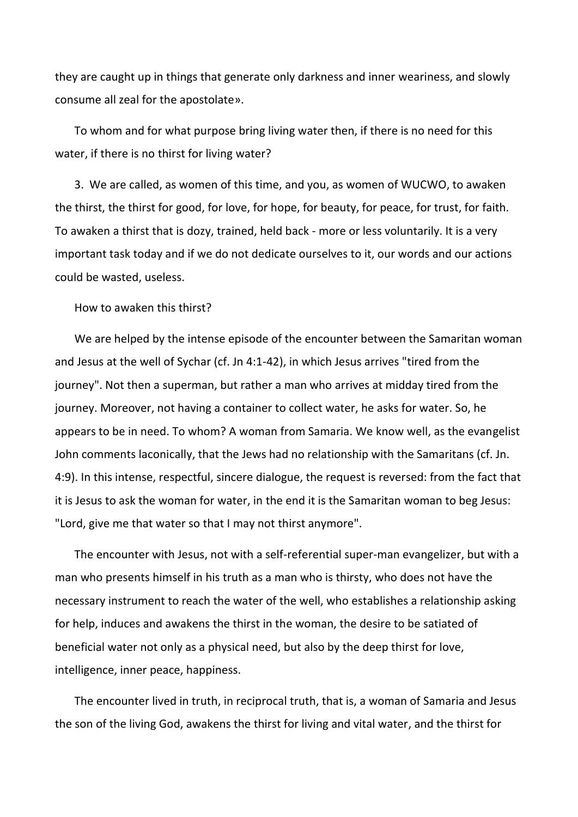they are caught up in things that generate only darkness and inner weariness, and slowly consume all zeal for the apostolate».

To whom and for what purpose bring living water then, if there is no need for this water, if there is no thirst for living water?

3. We are called, as women of this time, and you, as women of WUCWO, to awaken the thirst, the thirst for good, for love, for hope, for beauty, for peace, for trust, for faith. To awaken a thirst that is dozy, trained, held back - more or less voluntarily. It is a very important task today and if we do not dedicate ourselves to it, our words and our actions could be wasted, useless.

How to awaken this thirst?

We are helped by the intense episode of the encounter between the Samaritan woman and Jesus at the well of Sychar (cf. Jn 4:1-42), in which Jesus arrives "tired from the journey". Not then a superman, but rather a man who arrives at midday tired from the journey. Moreover, not having a container to collect water, he asks for water. So, he appears to be in need. To whom? A woman from Samaria. We know well, as the evangelist John comments laconically, that the Jews had no relationship with the Samaritans (cf. Jn. 4:9). In this intense, respectful, sincere dialogue, the request is reversed: from the fact that it is Jesus to ask the woman for water, in the end it is the Samaritan woman to beg Jesus: "Lord, give me that water so that I may not thirst anymore".

The encounter with Jesus, not with a self-referential super-man evangelizer, but with a man who presents himself in his truth as a man who is thirsty, who does not have the necessary instrument to reach the water of the well, who establishes a relationship asking for help, induces and awakens the thirst in the woman, the desire to be satiated of beneficial water not only as a physical need, but also by the deep thirst for love, intelligence, inner peace, happiness.

The encounter lived in truth, in reciprocal truth, that is, a woman of Samaria and Jesus the son of the living God, awakens the thirst for living and vital water, and the thirst for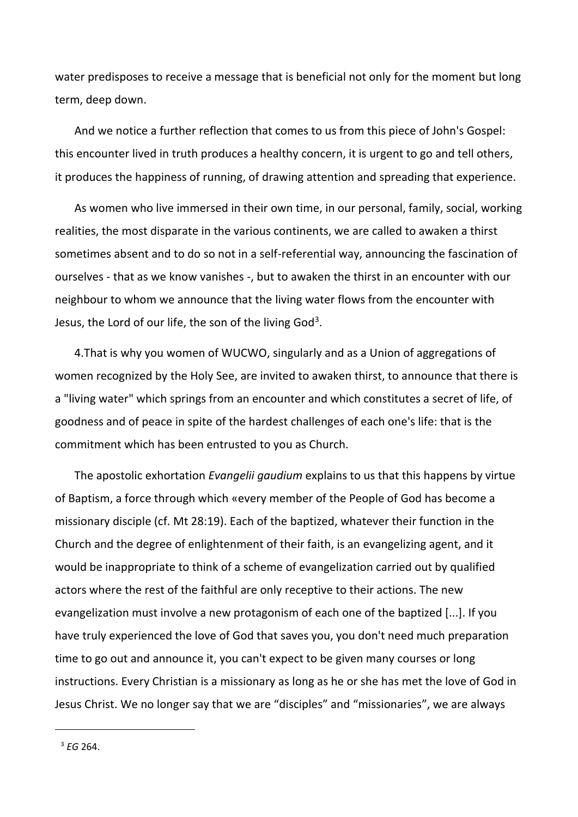water predisposes to receive a message that is beneficial not only for the moment but long term, deep down.

And we notice a further reflection that comes to us from this piece of John's Gospel: this encounter lived in truth produces a healthy concern, it is urgent to go and tell others, it produces the happiness of running, of drawing attention and spreading that experience.

As women who live immersed in their own time, in our personal, family, social, working realities, the most disparate in the various continents, we are called to awaken a thirst sometimes absent and to do so not in a self-referential way, announcing the fascination of ourselves - that as we know vanishes -, but to awaken the thirst in an encounter with our neighbour to whom we announce that the living water flows from the encounter with Jesus, the Lord of our life, the son of the living God<sup>3</sup>.

4.That is why you women of WUCWO, singularly and as a Union of aggregations of women recognized by the Holy See, are invited to awaken thirst, to announce that there is a "living water" which springs from an encounter and which constitutes a secret of life, of goodness and of peace in spite of the hardest challenges of each one's life: that is the commitment which has been entrusted to you as Church.

The apostolic exhortation *Evangelii gaudium* explains to us that this happens by virtue of Baptism, a force through which «every member of the People of God has become a missionary disciple (cf. Mt 28:19). Each of the baptized, whatever their function in the Church and the degree of enlightenment of their faith, is an evangelizing agent, and it would be inappropriate to think of a scheme of evangelization carried out by qualified actors where the rest of the faithful are only receptive to their actions. The new evangelization must involve a new protagonism of each one of the baptized [...]. If you have truly experienced the love of God that saves you, you don't need much preparation time to go out and announce it, you can't expect to be given many courses or long instructions. Every Christian is a missionary as long as he or she has met the love of God in Jesus Christ. We no longer say that we are "disciples" and "missionaries", we are always

 $\overline{a}$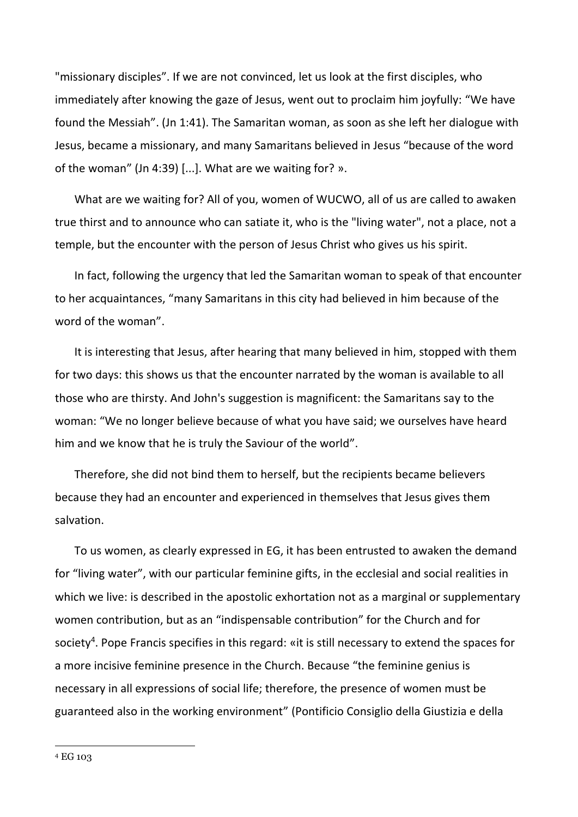"missionary disciples". If we are not convinced, let us look at the first disciples, who immediately after knowing the gaze of Jesus, went out to proclaim him joyfully: "We have found the Messiah". (Jn 1:41). The Samaritan woman, as soon as she left her dialogue with Jesus, became a missionary, and many Samaritans believed in Jesus "because of the word of the woman" (Jn 4:39) [...]. What are we waiting for? ».

What are we waiting for? All of you, women of WUCWO, all of us are called to awaken true thirst and to announce who can satiate it, who is the "living water", not a place, not a temple, but the encounter with the person of Jesus Christ who gives us his spirit.

In fact, following the urgency that led the Samaritan woman to speak of that encounter to her acquaintances, "many Samaritans in this city had believed in him because of the word of the woman".

It is interesting that Jesus, after hearing that many believed in him, stopped with them for two days: this shows us that the encounter narrated by the woman is available to all those who are thirsty. And John's suggestion is magnificent: the Samaritans say to the woman: "We no longer believe because of what you have said; we ourselves have heard him and we know that he is truly the Saviour of the world".

Therefore, she did not bind them to herself, but the recipients became believers because they had an encounter and experienced in themselves that Jesus gives them salvation.

To us women, as clearly expressed in EG, it has been entrusted to awaken the demand for "living water", with our particular feminine gifts, in the ecclesial and social realities in which we live: is described in the apostolic exhortation not as a marginal or supplementary women contribution, but as an "indispensable contribution" for the Church and for society<sup>4</sup>. Pope Francis specifies in this regard: «it is still necessary to extend the spaces for a more incisive feminine presence in the Church. Because "the feminine genius is necessary in all expressions of social life; therefore, the presence of women must be guaranteed also in the working environment" (Pontificio Consiglio della Giustizia e della

1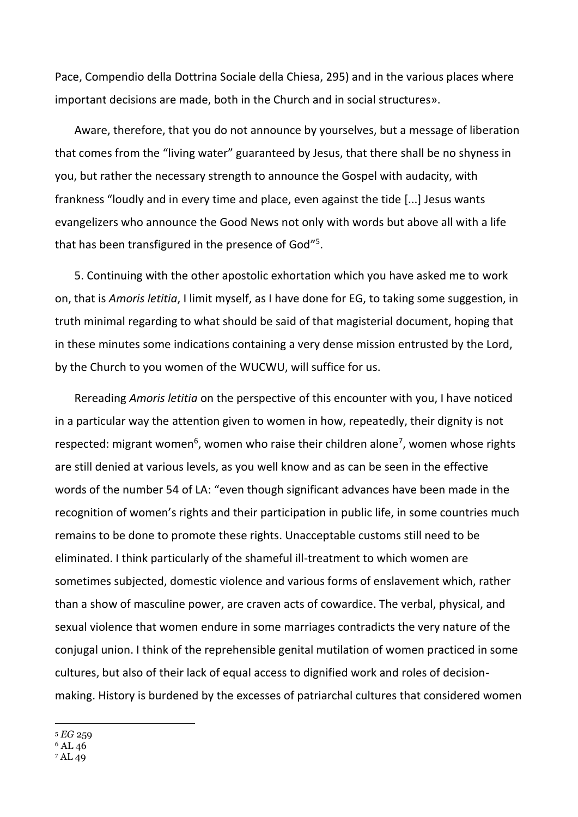Pace, Compendio della Dottrina Sociale della Chiesa, 295) and in the various places where important decisions are made, both in the Church and in social structures».

Aware, therefore, that you do not announce by yourselves, but a message of liberation that comes from the "living water" guaranteed by Jesus, that there shall be no shyness in you, but rather the necessary strength to announce the Gospel with audacity, with frankness "loudly and in every time and place, even against the tide [...] Jesus wants evangelizers who announce the Good News not only with words but above all with a life that has been transfigured in the presence of God"<sup>5</sup>.

5. Continuing with the other apostolic exhortation which you have asked me to work on, that is *Amoris letitia*, I limit myself, as I have done for EG, to taking some suggestion, in truth minimal regarding to what should be said of that magisterial document, hoping that in these minutes some indications containing a very dense mission entrusted by the Lord, by the Church to you women of the WUCWU, will suffice for us.

Rereading *Amoris letitia* on the perspective of this encounter with you, I have noticed in a particular way the attention given to women in how, repeatedly, their dignity is not respected: migrant women<sup>6</sup>, women who raise their children alone<sup>7</sup>, women whose rights are still denied at various levels, as you well know and as can be seen in the effective words of the number 54 of LA: "even though significant advances have been made in the recognition of women's rights and their participation in public life, in some countries much remains to be done to promote these rights. Unacceptable customs still need to be eliminated. I think particularly of the shameful ill-treatment to which women are sometimes subjected, domestic violence and various forms of enslavement which, rather than a show of masculine power, are craven acts of cowardice. The verbal, physical, and sexual violence that women endure in some marriages contradicts the very nature of the conjugal union. I think of the reprehensible genital mutilation of women practiced in some cultures, but also of their lack of equal access to dignified work and roles of decisionmaking. History is burdened by the excesses of patriarchal cultures that considered women

 $\overline{a}$ <sup>5</sup> *EG* 259

<sup>6</sup> AL 46

<sup>7</sup> AL 49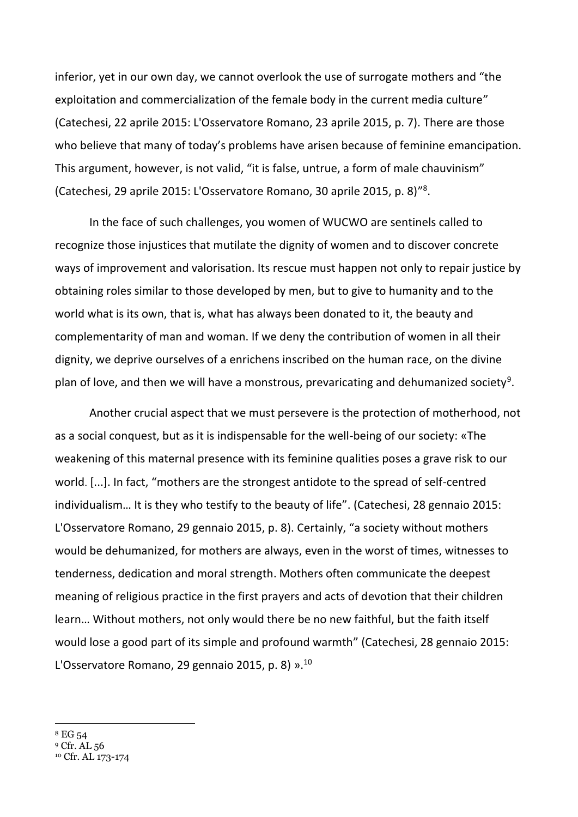inferior, yet in our own day, we cannot overlook the use of surrogate mothers and "the exploitation and commercialization of the female body in the current media culture" (Catechesi, 22 aprile 2015: L'Osservatore Romano, 23 aprile 2015, p. 7). There are those who believe that many of today's problems have arisen because of feminine emancipation. This argument, however, is not valid, "it is false, untrue, a form of male chauvinism" (Catechesi, 29 aprile 2015: L'Osservatore Romano, 30 aprile 2015, p. 8)" 8 .

In the face of such challenges, you women of WUCWO are sentinels called to recognize those injustices that mutilate the dignity of women and to discover concrete ways of improvement and valorisation. Its rescue must happen not only to repair justice by obtaining roles similar to those developed by men, but to give to humanity and to the world what is its own, that is, what has always been donated to it, the beauty and complementarity of man and woman. If we deny the contribution of women in all their dignity, we deprive ourselves of a enrichens inscribed on the human race, on the divine plan of love, and then we will have a monstrous, prevaricating and dehumanized society<sup>9</sup>.

Another crucial aspect that we must persevere is the protection of motherhood, not as a social conquest, but as it is indispensable for the well-being of our society: «The weakening of this maternal presence with its feminine qualities poses a grave risk to our world. [...]. In fact, "mothers are the strongest antidote to the spread of self-centred individualism… It is they who testify to the beauty of life". (Catechesi, 28 gennaio 2015: L'Osservatore Romano, 29 gennaio 2015, p. 8). Certainly, "a society without mothers would be dehumanized, for mothers are always, even in the worst of times, witnesses to tenderness, dedication and moral strength. Mothers often communicate the deepest meaning of religious practice in the first prayers and acts of devotion that their children learn... Without mothers, not only would there be no new faithful, but the faith itself would lose a good part of its simple and profound warmth" (Catechesi, 28 gennaio 2015: L'Osservatore Romano, 29 gennaio 2015, p. 8) ».<sup>10</sup>

 $\overline{a}$ 

<sup>8</sup> EG 54

<sup>9</sup> Cfr. AL 56

<sup>10</sup> Cfr. AL 173-174